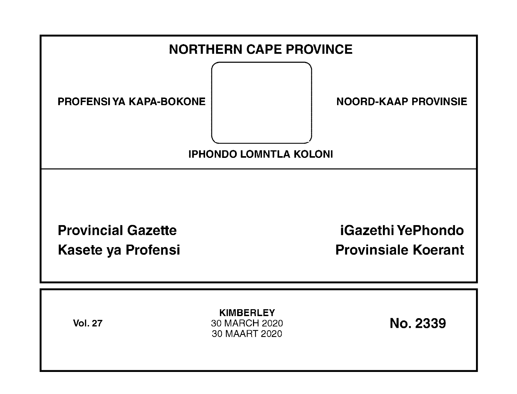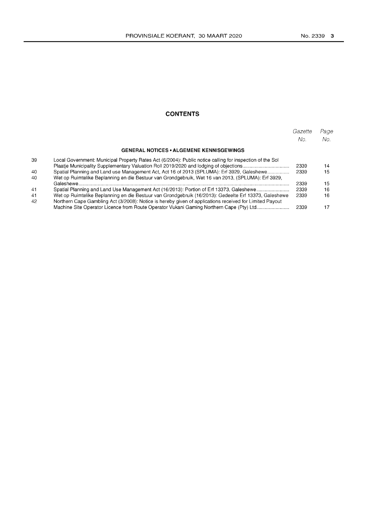## **CONTENTS**

|          |                                                                                                                                                                                                                  | Gazette<br>No. | Page<br>No. |
|----------|------------------------------------------------------------------------------------------------------------------------------------------------------------------------------------------------------------------|----------------|-------------|
|          | <b>GENERAL NOTICES • ALGEMENE KENNISGEWINGS</b>                                                                                                                                                                  |                |             |
| 39       | Local Government: Municipal Property Rates Act (6/2004): Public notice calling for inspection of the Sol                                                                                                         | 2339           | 14          |
| 40<br>40 | Spatial Planning and Land use Management Act, Act 16 of 2013 (SPLUMA): Erf 3929, Galeshewe<br>Wet op Ruimtelike Beplanning en die Bestuur van Grondgebruik, Wet 16 van 2013, (SPLUMA): Erf 3929,                 | 2339           | 15          |
|          |                                                                                                                                                                                                                  | 2339           | 15          |
| 41       | Spatial Planning and Land Use Management Act (16/2013): Portion of Erf 13373, Galeshewe                                                                                                                          | 2339           | 16          |
| 41<br>42 | Wet op Ruimtelike Beplanning en die Bestuur van Grondgebruik (16/2013): Gedeelte Erf 13373, Galeshewe<br>Northern Cape Gambling Act (3/2008): Notice is hereby given of applications received for Limited Payout | 2339           | 16          |
|          | Machine Site Operator Licence from Route Operator Vukani Gaming Northern Cape (Pty) Ltd                                                                                                                          | 2339           |             |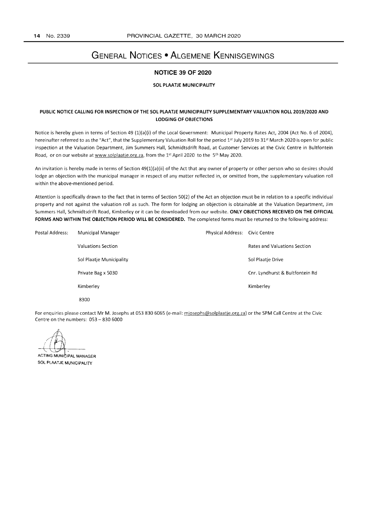# **GENERAL NOTICES • ALGEMENE KENNISGEWINGS**

#### **NOTICE 39 OF 2020**

#### **SOL PLAATJE MUNICIPALITY**

#### **PUBLIC NOTICE CALLING FOR INSPECTION OF THE SOL PLAATJE MUNICIPALITY SUPPLEMENTARY VALUATION ROLL 2019/2020 AND LODGING OF OBJECTIONS**

Notice is hereby given in terms of Section 49 (l)(a)(i) of the Local Government: Municipal Property Rates Act, 2004 (Act No.6 of 2004), hereinafter referred to as the "Act", that the Supplementary Valuation Roll for the period 1st July 2019 to 31st March 2020 is open for public inspection at the Valuation Department, Jim Summers Hall, Schmidtsdrift Road, at Customer Services at the Civic Centre in Bultfontein Road, or on our website at www.solplaatje.org.za, from the 1st April 2020 to the 5<sup>th</sup> May 2020.

An invitation is hereby made in terms of Section 49(l)(a)(ii) of the Act that any owner of property or other person who so desires should lodge an objection with the municipal manager in respect of any matter reflected in, or omitted from, the supplementary valuation roll within the above-mentioned period.

Attention is specifically drawn to the fact that in terms of Section 50(2) of the Act an objection must be in relation to a specific individual property and not against the valuation roll as such. The form for lodging an objection is obtainable at the Valuation Department, Jim Summers Hall, Schmidtsdrift Road, Kimberley or it can be downloaded from our website. **ONLY OBJECTIONS RECEIVED ON THE OFFICIAL FORMS AND WITHIN THE OBJECTION PERIOD WILL BE CONSIDERED.** The completed forms must be returned to the following address:

| Postal Address: | <b>Municipal Manager</b>  | Physical Address: Civic Centre |                                 |
|-----------------|---------------------------|--------------------------------|---------------------------------|
|                 | <b>Valuations Section</b> |                                | Rates and Valuations Section    |
|                 | Sol Plaatje Municipality  |                                | Sol Plaatje Drive               |
|                 | Private Bag x 5030        |                                | Cnr. Lyndhurst & Bultfontein Rd |
|                 | Kimberley                 |                                | Kimberley                       |
|                 | 8300                      |                                |                                 |

For enquiries please contact Mr M. Josephs at 053 830 6065 (e-mail: mjosephs@solplaatje.org.za) or the SPM Call Centre at the Civic Centre on the numbers:  $053 - 8306000$ 

**ACTING MUNICIPAL MANAGER** SOL PLAATJE MUNICIPALITY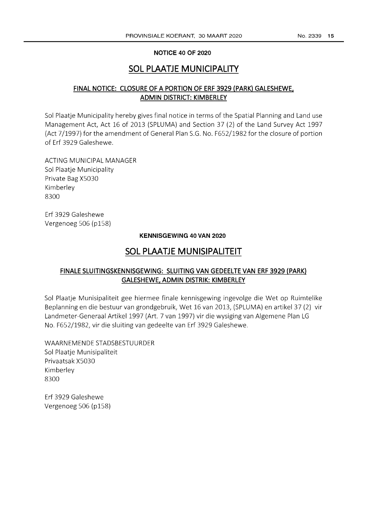### **NOTICE 40 OF 2020**

# **SOL PlAATJE MUNICIPALITY**

# **FINAL NOTICE: CLOSURE OF A PORTION OF ERF 3929 (PARK) GALESHEWE, ADMIN DISTRICT: KIMBERLEY**

Sol Plaatje Municipality hereby gives final notice in terms of the Spatial Planning and Land use Management Act, Act 16 of 2013 (SPLUMA) and Section 37 (2) of the Land Survey Act 1997 (Act 7/1997) for the amendment of General Plan S.G. No. F652/1982 for the closure of portion of Erf 3929 Galeshewe.

ACTING MUNICIPAL MANAGER Sol Plaatje Municipality Private Bag X5030 Kimberley 8300

Erf 3929 Galeshewe Vergenoeg 506 (p158)

### **KENNISGEWING 40 VAN 2020**

# **SOL PlAATJE MUNISIPALITEIT**

# **FINALE SLUITINGSKENNISGEWING: SLUITING VAN GEDEELTE VAN ERF 3929 (PARK) GALESHEWE, ADMIN DISTRIK: KIMBERLEY**

Sol Plaatje Munisipaliteit gee hiermee finale kennisgewing ingevolge die Wet op Ruimtelike Beplanning en die bestuur van grondgebruik, Wet 16 van 2013, (SPLUMA) en artikel 37 (2) vir Landmeter-Generaal Artikel 1997 (Art. 7 van 1997) vir die wysiging van Aigemene Plan **LG**  No. F652/1982, vir die sluiting van gedeelte van Erf 3929 Galeshewe.

WAARNEMENDE STADSBESTUURDER Sol Plaatje Munisipaliteit Privaatsak X5030 Kimberley 8300

Erf 3929 Galeshewe Vergenoeg 506 (p158)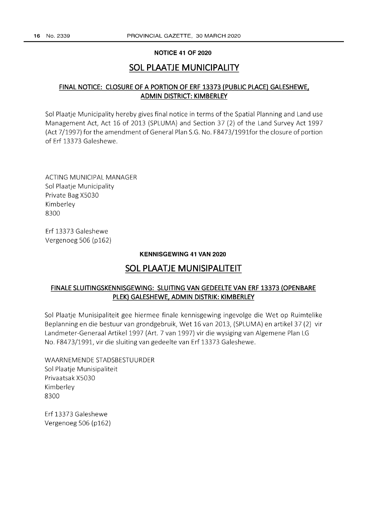#### **NOTICE 41 OF 2020**

# **SOL PLAATJE MUNICIPALITY**

## **FINAL NOTICE: CLOSURE OF A PORTION OF ERF 13373 (PUBLIC PLACE) GALESHEWE, ADMIN DISTRICT: KIMBERLEY**

Sol Plaatje Municipality hereby gives final notice in terms of the Spatial Planning and Land use Management Act, Act 16 of 2013 (SPLUMA) and Section 37 (2) of the Land Survey Act 1997 (Act 7/1997) for the amendment of General Plan S.G. No. F8473/199lfor the closure of portion of Erf 13373 Galeshewe.

ACTING MUNICIPAL MANAGER Sol Plaatje Municipality Private Bag X5030 Kimberley 8300

Erf 13373 Galeshewe Vergenoeg 506 (p162)

#### **KENNISGEWING 41 VAN 2020**

## **SOL PLAATJE MUNISIPALITEIT**

## **FINALE SLUITINGSKENNISGEWING: SLUITING VAN GEDEELTE VAN ERF 13373 (OPENBARE PLEK) GALESHEWE, ADMIN DISTRIK: KIMBERLEY**

Sol Plaatje Munisipaliteit gee hiermee finale kennisgewing ingevolge die Wet op Ruimtelike Beplanning en die bestuur van grondgebruik, Wet 16 van 2013, (SPLUMA) en artikel 37 (2) vir Landmeter-Generaal Artikel 1997 (Art. 7 van 1997) vir die wysiging van Algemene Plan LG No. F8473/1991, vir die sluiting van gedeelte van Erf 13373 Galeshewe.

WAARNEMENDE STADSBESTUURDER Sol Plaatje Munisipaliteit Privaatsak X5030 Kimberley 8300

Erf 13373 Galeshewe Vergenoeg 506 (p162)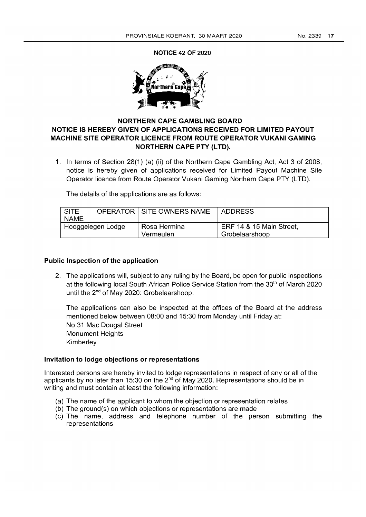NOTICE 42 OF 2020



# NORTHERN CAPE GAMBLING BOARD NOTICE IS HEREBY GIVEN OF APPLICATIONS RECEIVED FOR LIMITED PAYOUT MACHINE SITE OPERATOR LICENCE FROM ROUTE OPERATOR VUKANI GAMING NORTHERN CAPE PTY (LTD).

1. In terms of Section 28(1) (a) (ii) of the Northern Cape Gambling Act, Act 3 of 2008, notice is hereby given of applications received for Limited Payout Machine Site Operator licence from Route Operator Vukani Gaming Northern Cape PTY (LTD).

The details of the applications are as follows:

| SITE              |  | <b>OPERATOR I SITE OWNERS NAME</b> | ADDRESS                  |  |
|-------------------|--|------------------------------------|--------------------------|--|
| NAME              |  |                                    |                          |  |
| Hooggelegen Lodge |  | Rosa Hermina                       | ERF 14 & 15 Main Street, |  |
|                   |  | Vermeulen                          | Grobelaarshoop           |  |

### Public Inspection of the application

2. The applications will, subject to any ruling by the Board, be open for public inspections at the following local South African Police Service Station from the 30<sup>th</sup> of March 2020 until the 2<sup>nd</sup> of May 2020: Grobelaarshoop.

The applications can also be inspected at the offices of the Board at the address mentioned below between 08:00 and 15:30 from Monday until Friday at: No 31 Mac Dougal Street Monument Heights Kimberley

### Invitation to lodge objections or representations

Interested persons are hereby invited to lodge representations in respect of any or all of the applicants by no later than 15:30 on the  $2^{nd}$  of May 2020. Representations should be in writing and must contain at least the following information:

- (a) The name of the applicant to whom the objection or representation relates
- (b) The ground(s) on which objections or representations are made
- (c) The name, address and telephone number of the person submitting the representations